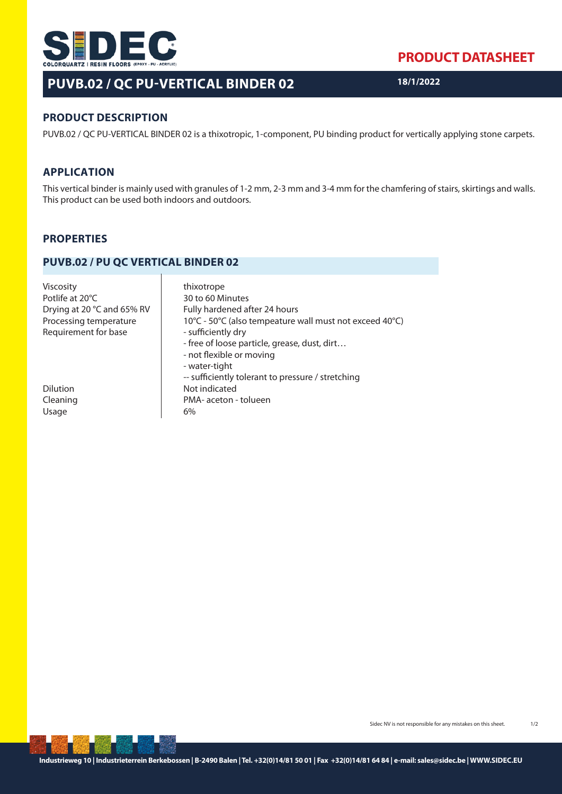

# **PUVB.02 / QC PU-VERTICAL BINDER 02**

**PRODUCT DATASHEET**

**18/1/2022**

## **PRODUCT DESCRIPTION**

PUVB.02 / QC PU-VERTICAL BINDER 02 is a thixotropic, 1-component, PU binding product for vertically applying stone carpets.

#### **APPLICATION**

This vertical binder is mainly used with granules of 1-2 mm, 2-3 mm and 3-4 mm for the chamfering of stairs, skirtings and walls. This product can be used both indoors and outdoors.

## **PROPERTIES**

#### **PUVB.02 / PU QC VERTICAL BINDER 02**

| <b>Viscosity</b><br>Potlife at 20°C<br>Drying at 20 °C and 65% RV<br>Processing temperature<br>Requirement for base | thixotrope<br>30 to 60 Minutes<br>Fully hardened after 24 hours<br>10°C - 50°C (also tempeature wall must not exceed 40°C)<br>- sufficiently dry<br>- free of loose particle, grease, dust, dirt |
|---------------------------------------------------------------------------------------------------------------------|--------------------------------------------------------------------------------------------------------------------------------------------------------------------------------------------------|
| Dilution<br>Cleaning<br>Usage                                                                                       | - not flexible or moving<br>- water-tight<br>-- sufficiently tolerant to pressure / stretching<br>Not indicated<br>PMA- aceton - tolueen<br>6%                                                   |

Sidec NV is not responsible for any mistakes on this sheet. 1/2